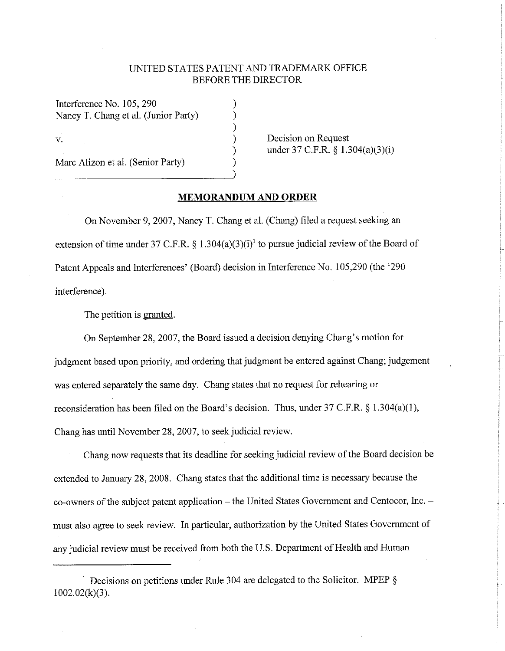## UNITED STATES PA TENT AND TRADEMARK OFFICE BEFORE THE DIRECTOR

) ) ) ) ) )

Interference No. 105, 290 Nancy T. Chang et al. (Junior Party) V. Marc Alizon et al. (Senior Party)

Decision on Request under 37 C.F.R. § 1.304(a)(3)(i)

## **MEMORANDUM AND ORDER**

On November 9, 2007, Nancy T. Chang et al. (Chang) filed a request seeking an extension of time under 37 C.F.R.  $\S$  1.304(a)(3)(i)<sup>1</sup> to pursue judicial review of the Board of Patent Appeals and Interferences' (Board) decision in Interference No. 105,290 (the '290 interference).

The petition is granted.

On September 28, 2007, the Board issued a decision denying Chang's motion for judgment based upon priority, and ordering that judgment be entered against Chang; judgement was entered separately the same day. Chang states that no request for rehearing or reconsideration has been filed on the Board's decision. Thus, under 37 C.F.R. § 1.304(a)(1), Chang has until November 28, 2007, to seek judicial review.

Chang now requests that its deadline for seeking judicial review of the Board decision be extended to January 28, 2008. Chang states that the additional time is necessary because the co-owners of the subject patent application – the United States Government and Centocor, Inc. – must also agree to seek review. In particular, authorization by the United States Government of any judicial review must be received from both the U.S. Department of Health and Human

<sup>&</sup>lt;sup>1</sup> Decisions on petitions under Rule 304 are delegated to the Solicitor. MPEP § 1002.02(k)(3).